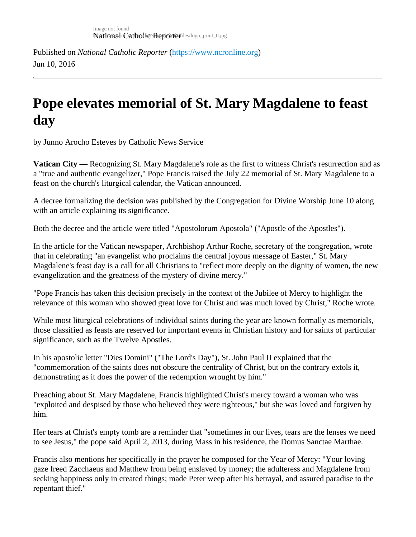Published on National Catholic Repo[r](https://www.ncronline.org)terhttps://www.ncronline.org Jun 10, 2016

## Pope elevates memorial of St. Mary Magdalene to feast day

by Junno Arocho Esteves by Catholic News Service

Vatican City — Recognizing St. Mary Magdalene's role as the first to witness Christ's resurrection and as a "true and authentic evangelizer," Pope Francis raised the July 22 memorial of St. Mary Magdalene to a feast on the church's liturgical calendar, the Vatican announced.

A decree formalizing the decision was published by the Congregation for Divine Worship June 10 along with an article explaining its significance.

Both the decree and the article were titled "Apostolorum Apostola" ("Apostle of the Apostles").

In the article for the Vatican newspaper, Archbishop Arthur Roche, secretary of the congregation, wrote that in celebrating "an evangelist who proclaims the central joyous message of Easter," St. Mary Magdalene's feast day is a call for all Christians to "reflect more deeply on the dignity of women, the new evangelization and the greatness of the mystery of divine mercy."

"Pope Francis has taken this decision precisely in the context of the Jubilee of Mercy to highlight the relevance of this woman who showed great love for Christ and was much loved by Christ," Roche wrote.

While most liturgical celebrations of individual saints during the year are known formally as memorials, those classified as feasts are reserved for important events in Christian history and for saints of particular significance, such as the Twelve Apostles.

In his apostolic letter "Dies Domini" ("The Lord's Day"), St. John Paul II explained that the "commemoration of the saints does not obscure the centrality of Christ, but on the contrary extols it, demonstrating as it does the power of the redemption wrought by him."

Preaching about St. Mary Magdalene, Francis highlighted Christ's mercy toward a woman who was "exploited and despised by those who believed they were righteous," but she was loved and forgiven by him.

Her tears at Christ's empty tomb are a reminder that "sometimes in our lives, tears are the lenses we need to see Jesus," the pope said April 2, 2013, during Mass in his residence, the Domus Sanctae Marthae.

Francis also mentions her specifically in the prayer he composed for the Year of Mercy: "Your loving gaze freed Zacchaeus and Matthew from being enslaved by money; the adulteress and Magdalene from seeking happiness only in created things; made Peter weep after his betrayal, and assured paradise to the repentant thief."